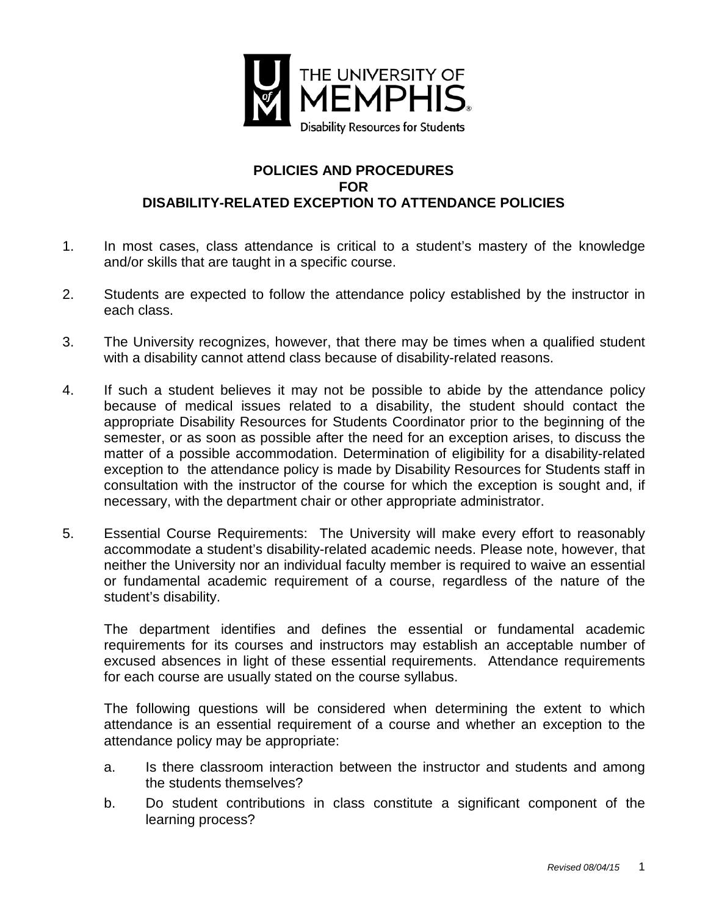

## **POLICIES AND PROCEDURES FOR DISABILITY-RELATED EXCEPTION TO ATTENDANCE POLICIES**

- 1. In most cases, class attendance is critical to a student's mastery of the knowledge and/or skills that are taught in a specific course.
- 2. Students are expected to follow the attendance policy established by the instructor in each class.
- 3. The University recognizes, however, that there may be times when a qualified student with a disability cannot attend class because of disability-related reasons.
- 4. If such a student believes it may not be possible to abide by the attendance policy because of medical issues related to a disability, the student should contact the appropriate Disability Resources for Students Coordinator prior to the beginning of the semester, or as soon as possible after the need for an exception arises, to discuss the matter of a possible accommodation. Determination of eligibility for a disability-related exception to the attendance policy is made by Disability Resources for Students staff in consultation with the instructor of the course for which the exception is sought and, if necessary, with the department chair or other appropriate administrator.
- 5. Essential Course Requirements: The University will make every effort to reasonably accommodate a student's disability-related academic needs. Please note, however, that neither the University nor an individual faculty member is required to waive an essential or fundamental academic requirement of a course, regardless of the nature of the student's disability.

The department identifies and defines the essential or fundamental academic requirements for its courses and instructors may establish an acceptable number of excused absences in light of these essential requirements. Attendance requirements for each course are usually stated on the course syllabus.

The following questions will be considered when determining the extent to which attendance is an essential requirement of a course and whether an exception to the attendance policy may be appropriate:

- a. Is there classroom interaction between the instructor and students and among the students themselves?
- b. Do student contributions in class constitute a significant component of the learning process?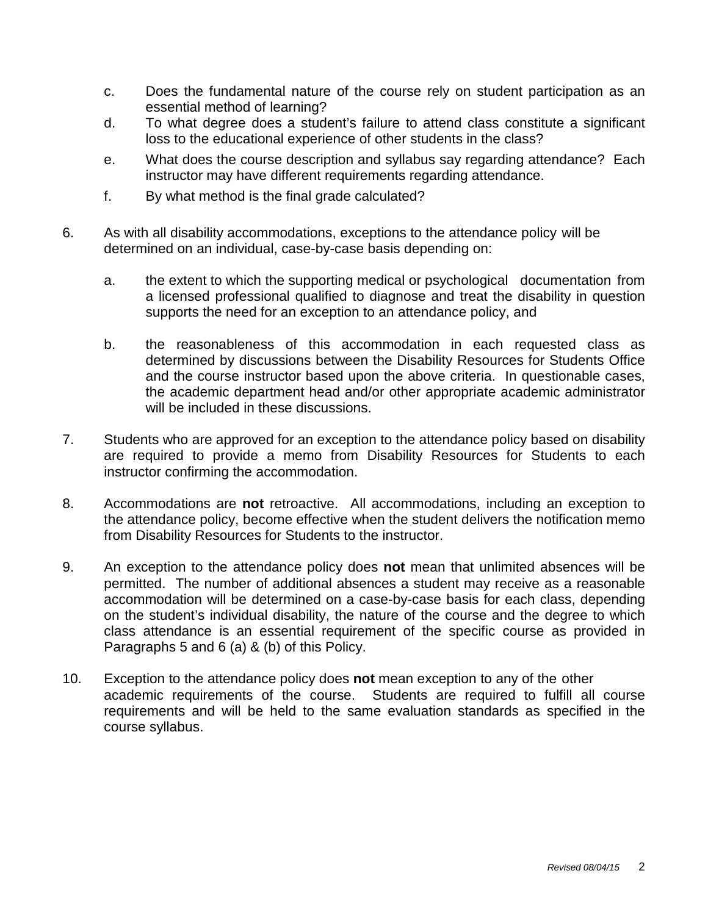- c. Does the fundamental nature of the course rely on student participation as an essential method of learning?
- d. To what degree does a student's failure to attend class constitute a significant loss to the educational experience of other students in the class?
- e. What does the course description and syllabus say regarding attendance? Each instructor may have different requirements regarding attendance.
- f. By what method is the final grade calculated?
- 6. As with all disability accommodations, exceptions to the attendance policy will be determined on an individual, case-by-case basis depending on:
	- a. the extent to which the supporting medical or psychological documentation from a licensed professional qualified to diagnose and treat the disability in question supports the need for an exception to an attendance policy, and
	- b. the reasonableness of this accommodation in each requested class as determined by discussions between the Disability Resources for Students Office and the course instructor based upon the above criteria. In questionable cases, the academic department head and/or other appropriate academic administrator will be included in these discussions.
- 7. Students who are approved for an exception to the attendance policy based on disability are required to provide a memo from Disability Resources for Students to each instructor confirming the accommodation.
- 8. Accommodations are **not** retroactive. All accommodations, including an exception to the attendance policy, become effective when the student delivers the notification memo from Disability Resources for Students to the instructor.
- 9. An exception to the attendance policy does **not** mean that unlimited absences will be permitted. The number of additional absences a student may receive as a reasonable accommodation will be determined on a case-by-case basis for each class, depending on the student's individual disability, the nature of the course and the degree to which class attendance is an essential requirement of the specific course as provided in Paragraphs 5 and 6 (a) & (b) of this Policy.
- 10. Exception to the attendance policy does **not** mean exception to any of the other academic requirements of the course. Students are required to fulfill all course requirements and will be held to the same evaluation standards as specified in the course syllabus.